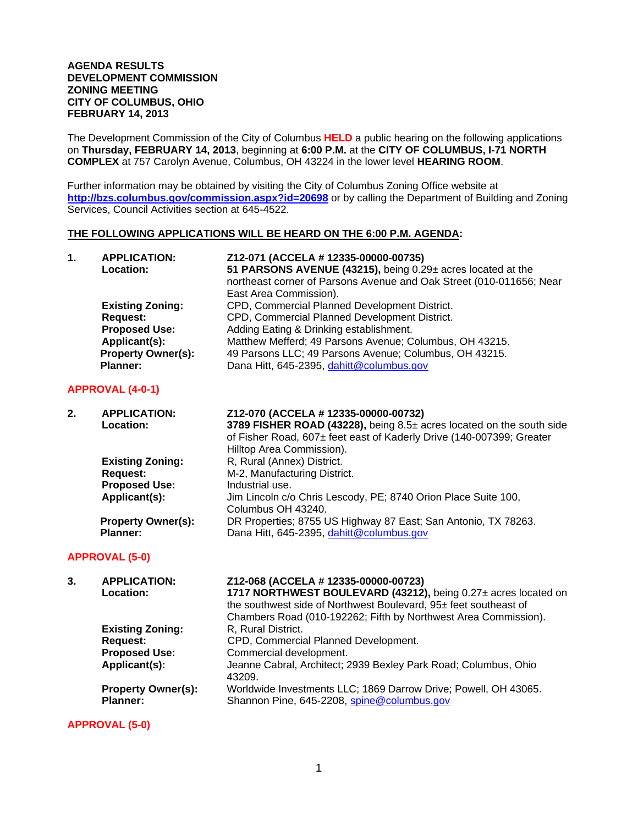### **AGENDA RESULTS DEVELOPMENT COMMISSION ZONING MEETING CITY OF COLUMBUS, OHIO FEBRUARY 14, 2013**

The Development Commission of the City of Columbus **HELD** a public hearing on the following applications on **Thursday, FEBRUARY 14, 2013**, beginning at **6:00 P.M.** at the **CITY OF COLUMBUS, I-71 NORTH COMPLEX** at 757 Carolyn Avenue, Columbus, OH 43224 in the lower level **HEARING ROOM**.

Further information may be obtained by visiting the City of Columbus Zoning Office website at **http://bzs.columbus.gov/commission.aspx?id=20698** or by calling the Department of Building and Zoning Services, Council Activities section at 645-4522.

#### **THE FOLLOWING APPLICATIONS WILL BE HEARD ON THE 6:00 P.M. AGENDA:**

| 1. | <b>APPLICATION:</b><br>Location: | Z12-071 (ACCELA # 12335-00000-00735)<br>51 PARSONS AVENUE (43215), being 0.29± acres located at the<br>northeast corner of Parsons Avenue and Oak Street (010-011656; Near<br>East Area Commission). |
|----|----------------------------------|------------------------------------------------------------------------------------------------------------------------------------------------------------------------------------------------------|
|    | <b>Existing Zoning:</b>          | CPD, Commercial Planned Development District.                                                                                                                                                        |
|    | Request:                         | CPD, Commercial Planned Development District.                                                                                                                                                        |
|    | <b>Proposed Use:</b>             | Adding Eating & Drinking establishment.                                                                                                                                                              |
|    | Applicant(s):                    | Matthew Mefferd; 49 Parsons Avenue; Columbus, OH 43215.                                                                                                                                              |
|    | <b>Property Owner(s):</b>        | 49 Parsons LLC; 49 Parsons Avenue; Columbus, OH 43215.                                                                                                                                               |
|    | <b>Planner:</b>                  | Dana Hitt, 645-2395, dahitt@columbus.gov                                                                                                                                                             |

### **APPROVAL (4-0-1)**

| 2. | <b>APPLICATION:</b><br>Location: | Z12-070 (ACCELA # 12335-00000-00732)<br>3789 FISHER ROAD (43228), being 8.5± acres located on the south side<br>of Fisher Road, 607± feet east of Kaderly Drive (140-007399; Greater<br>Hilltop Area Commission). |
|----|----------------------------------|-------------------------------------------------------------------------------------------------------------------------------------------------------------------------------------------------------------------|
|    | <b>Existing Zoning:</b>          | R, Rural (Annex) District.                                                                                                                                                                                        |
|    | <b>Request:</b>                  | M-2, Manufacturing District.                                                                                                                                                                                      |
|    | <b>Proposed Use:</b>             | Industrial use.                                                                                                                                                                                                   |
|    | Applicant(s):                    | Jim Lincoln c/o Chris Lescody, PE; 8740 Orion Place Suite 100,                                                                                                                                                    |
|    |                                  | Columbus OH 43240.                                                                                                                                                                                                |
|    | <b>Property Owner(s):</b>        | DR Properties; 8755 US Highway 87 East; San Antonio, TX 78263.                                                                                                                                                    |
|    | <b>Planner:</b>                  | Dana Hitt, 645-2395, dahitt@columbus.gov                                                                                                                                                                          |

### **APPROVAL (5-0)**

| <b>APPLICATION:</b><br>Location:             | Z12-068 (ACCELA #12335-00000-00723)<br>1717 NORTHWEST BOULEVARD (43212), being 0.27± acres located on<br>the southwest side of Northwest Boulevard, 95± feet southeast of<br>Chambers Road (010-192262; Fifth by Northwest Area Commission). |
|----------------------------------------------|----------------------------------------------------------------------------------------------------------------------------------------------------------------------------------------------------------------------------------------------|
| <b>Existing Zoning:</b>                      | R, Rural District.                                                                                                                                                                                                                           |
|                                              | CPD, Commercial Planned Development.<br>Commercial development.                                                                                                                                                                              |
|                                              |                                                                                                                                                                                                                                              |
|                                              | Jeanne Cabral, Architect; 2939 Bexley Park Road; Columbus, Ohio<br>43209.                                                                                                                                                                    |
| <b>Property Owner(s):</b><br><b>Planner:</b> | Worldwide Investments LLC; 1869 Darrow Drive; Powell, OH 43065.<br>Shannon Pine, 645-2208, spine@columbus.gov                                                                                                                                |
|                                              | Request:<br><b>Proposed Use:</b><br>Applicant(s):                                                                                                                                                                                            |

**APPROVAL (5-0)**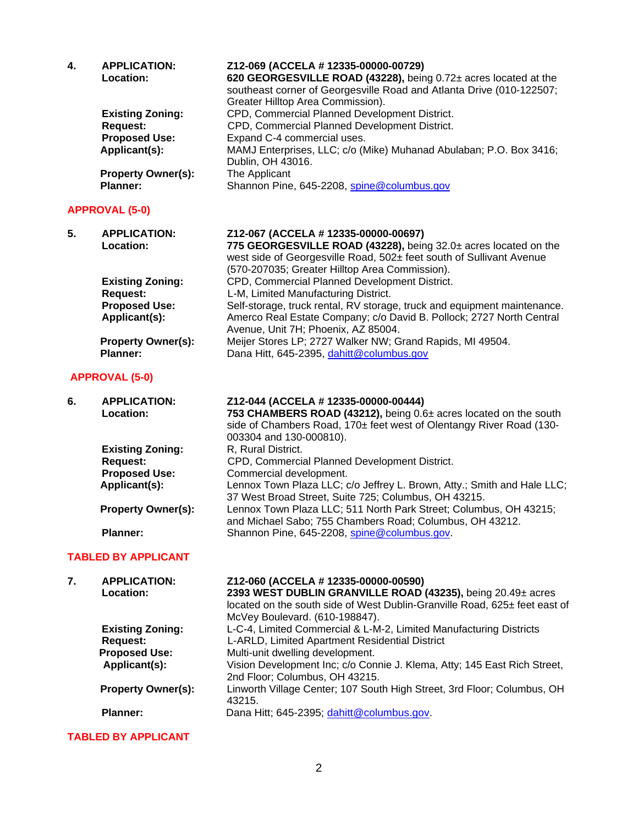| 4.             | <b>APPLICATION:</b><br>Location:<br><b>Existing Zoning:</b><br><b>Request:</b><br><b>Proposed Use:</b> | Z12-069 (ACCELA # 12335-00000-00729)<br>620 GEORGESVILLE ROAD (43228), being 0.72± acres located at the<br>southeast corner of Georgesville Road and Atlanta Drive (010-122507;<br>Greater Hilltop Area Commission).<br>CPD, Commercial Planned Development District.<br>CPD, Commercial Planned Development District.<br>Expand C-4 commercial uses. |
|----------------|--------------------------------------------------------------------------------------------------------|-------------------------------------------------------------------------------------------------------------------------------------------------------------------------------------------------------------------------------------------------------------------------------------------------------------------------------------------------------|
|                | Applicant(s):                                                                                          | MAMJ Enterprises, LLC; c/o (Mike) Muhanad Abulaban; P.O. Box 3416;<br>Dublin, OH 43016.                                                                                                                                                                                                                                                               |
|                | <b>Property Owner(s):</b><br><b>Planner:</b>                                                           | The Applicant<br>Shannon Pine, 645-2208, spine@columbus.gov                                                                                                                                                                                                                                                                                           |
|                | <b>APPROVAL (5-0)</b>                                                                                  |                                                                                                                                                                                                                                                                                                                                                       |
| 5 <sub>1</sub> | <b>APPLICATION:</b><br>Location:                                                                       | Z12-067 (ACCELA # 12335-00000-00697)<br>775 GEORGESVILLE ROAD (43228), being 32.0± acres located on the<br>west side of Georgesville Road, 502± feet south of Sullivant Avenue<br>(570-207035; Greater Hilltop Area Commission).                                                                                                                      |
|                | <b>Existing Zoning:</b><br><b>Request:</b>                                                             | CPD, Commercial Planned Development District.<br>L-M, Limited Manufacturing District.                                                                                                                                                                                                                                                                 |
|                | <b>Proposed Use:</b><br>Applicant(s):                                                                  | Self-storage, truck rental, RV storage, truck and equipment maintenance.<br>Amerco Real Estate Company; c/o David B. Pollock; 2727 North Central<br>Avenue, Unit 7H; Phoenix, AZ 85004.                                                                                                                                                               |
|                | <b>Property Owner(s):</b><br><b>Planner:</b>                                                           | Meijer Stores LP; 2727 Walker NW; Grand Rapids, MI 49504.<br>Dana Hitt, 645-2395, dahitt@columbus.gov                                                                                                                                                                                                                                                 |

# **APPROVAL (5-0)**

| 6. | <b>APPLICATION:</b>       | Z12-044 (ACCELA # 12335-00000-00444)                                                                                                    |
|----|---------------------------|-----------------------------------------------------------------------------------------------------------------------------------------|
|    | Location:                 | 753 CHAMBERS ROAD (43212), being 0.6± acres located on the south<br>side of Chambers Road, 170± feet west of Olentangy River Road (130- |
|    |                           | 003304 and 130-000810).                                                                                                                 |
|    | <b>Existing Zoning:</b>   | R, Rural District.                                                                                                                      |
|    | <b>Request:</b>           | CPD, Commercial Planned Development District.                                                                                           |
|    | <b>Proposed Use:</b>      | Commercial development.                                                                                                                 |
|    | Applicant(s):             | Lennox Town Plaza LLC; c/o Jeffrey L. Brown, Atty.; Smith and Hale LLC;<br>37 West Broad Street, Suite 725; Columbus, OH 43215.         |
|    | <b>Property Owner(s):</b> | Lennox Town Plaza LLC; 511 North Park Street; Columbus, OH 43215;<br>and Michael Sabo; 755 Chambers Road; Columbus, OH 43212.           |
|    | Planner:                  | Shannon Pine, 645-2208, spine@columbus.gov.                                                                                             |
|    |                           |                                                                                                                                         |

# **TABLED BY APPLICANT**

| 7. | <b>APPLICATION:</b><br>Location: | Z12-060 (ACCELA # 12335-00000-00590)<br>2393 WEST DUBLIN GRANVILLE ROAD (43235), being 20.49± acres<br>located on the south side of West Dublin-Granville Road, 625± feet east of<br>McVey Boulevard. (610-198847). |
|----|----------------------------------|---------------------------------------------------------------------------------------------------------------------------------------------------------------------------------------------------------------------|
|    | <b>Existing Zoning:</b>          | L-C-4, Limited Commercial & L-M-2, Limited Manufacturing Districts                                                                                                                                                  |
|    | <b>Request:</b>                  | L-ARLD, Limited Apartment Residential District                                                                                                                                                                      |
|    | <b>Proposed Use:</b>             | Multi-unit dwelling development.                                                                                                                                                                                    |
|    | Applicant(s):                    | Vision Development Inc; c/o Connie J. Klema, Atty; 145 East Rich Street,<br>2nd Floor; Columbus, OH 43215.                                                                                                          |
|    | <b>Property Owner(s):</b>        | Linworth Village Center; 107 South High Street, 3rd Floor; Columbus, OH<br>43215.                                                                                                                                   |
|    | Planner:                         | Dana Hitt; 645-2395; dahitt@columbus.gov.                                                                                                                                                                           |

### **TABLED BY APPLICANT**